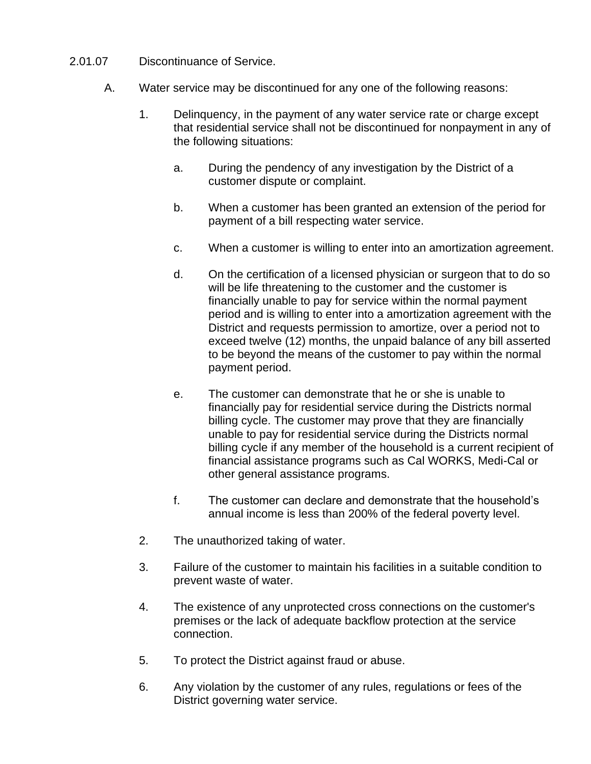- 2.01.07 Discontinuance of Service.
	- A. Water service may be discontinued for any one of the following reasons:
		- 1. Delinquency, in the payment of any water service rate or charge except that residential service shall not be discontinued for nonpayment in any of the following situations:
			- a. During the pendency of any investigation by the District of a customer dispute or complaint.
			- b. When a customer has been granted an extension of the period for payment of a bill respecting water service.
			- c. When a customer is willing to enter into an amortization agreement.
			- d. On the certification of a licensed physician or surgeon that to do so will be life threatening to the customer and the customer is financially unable to pay for service within the normal payment period and is willing to enter into a amortization agreement with the District and requests permission to amortize, over a period not to exceed twelve (12) months, the unpaid balance of any bill asserted to be beyond the means of the customer to pay within the normal payment period.
			- e. The customer can demonstrate that he or she is unable to financially pay for residential service during the Districts normal billing cycle. The customer may prove that they are financially unable to pay for residential service during the Districts normal billing cycle if any member of the household is a current recipient of financial assistance programs such as Cal WORKS, Medi-Cal or other general assistance programs.
			- f. The customer can declare and demonstrate that the household's annual income is less than 200% of the federal poverty level.
		- 2. The unauthorized taking of water.
		- 3. Failure of the customer to maintain his facilities in a suitable condition to prevent waste of water.
		- 4. The existence of any unprotected cross connections on the customer's premises or the lack of adequate backflow protection at the service connection.
		- 5. To protect the District against fraud or abuse.
		- 6. Any violation by the customer of any rules, regulations or fees of the District governing water service.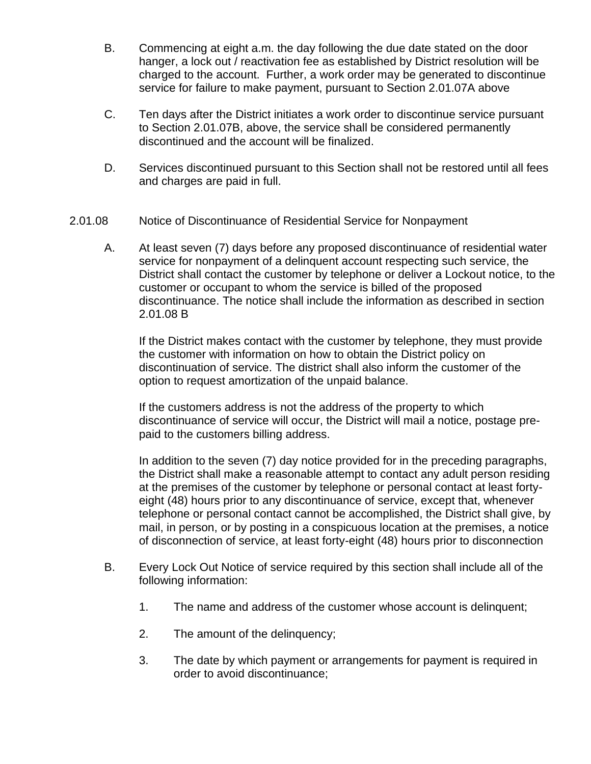- B. Commencing at eight a.m. the day following the due date stated on the door hanger, a lock out / reactivation fee as established by District resolution will be charged to the account. Further, a work order may be generated to discontinue service for failure to make payment, pursuant to Section 2.01.07A above
- C. Ten days after the District initiates a work order to discontinue service pursuant to Section 2.01.07B, above, the service shall be considered permanently discontinued and the account will be finalized.
- D. Services discontinued pursuant to this Section shall not be restored until all fees and charges are paid in full.
- 2.01.08 Notice of Discontinuance of Residential Service for Nonpayment
	- A. At least seven (7) days before any proposed discontinuance of residential water service for nonpayment of a delinquent account respecting such service, the District shall contact the customer by telephone or deliver a Lockout notice, to the customer or occupant to whom the service is billed of the proposed discontinuance. The notice shall include the information as described in section 2.01.08 B

If the District makes contact with the customer by telephone, they must provide the customer with information on how to obtain the District policy on discontinuation of service. The district shall also inform the customer of the option to request amortization of the unpaid balance.

If the customers address is not the address of the property to which discontinuance of service will occur, the District will mail a notice, postage prepaid to the customers billing address.

In addition to the seven (7) day notice provided for in the preceding paragraphs, the District shall make a reasonable attempt to contact any adult person residing at the premises of the customer by telephone or personal contact at least fortyeight (48) hours prior to any discontinuance of service, except that, whenever telephone or personal contact cannot be accomplished, the District shall give, by mail, in person, or by posting in a conspicuous location at the premises, a notice of disconnection of service, at least forty-eight (48) hours prior to disconnection

- B. Every Lock Out Notice of service required by this section shall include all of the following information:
	- 1. The name and address of the customer whose account is delinquent;
	- 2. The amount of the delinquency;
	- 3. The date by which payment or arrangements for payment is required in order to avoid discontinuance;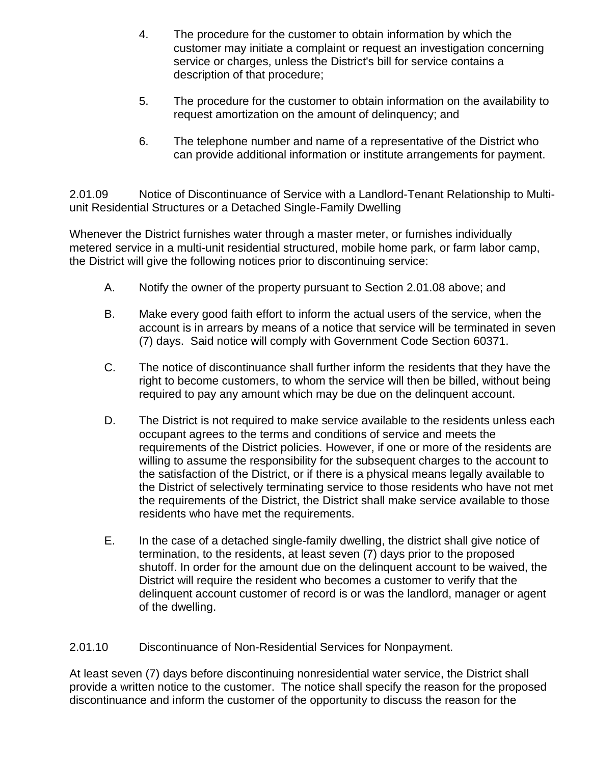- 4. The procedure for the customer to obtain information by which the customer may initiate a complaint or request an investigation concerning service or charges, unless the District's bill for service contains a description of that procedure;
- 5. The procedure for the customer to obtain information on the availability to request amortization on the amount of delinquency; and
- 6. The telephone number and name of a representative of the District who can provide additional information or institute arrangements for payment.

2.01.09 Notice of Discontinuance of Service with a Landlord-Tenant Relationship to Multiunit Residential Structures or a Detached Single-Family Dwelling

Whenever the District furnishes water through a master meter, or furnishes individually metered service in a multi-unit residential structured, mobile home park, or farm labor camp, the District will give the following notices prior to discontinuing service:

- A. Notify the owner of the property pursuant to Section 2.01.08 above; and
- B. Make every good faith effort to inform the actual users of the service, when the account is in arrears by means of a notice that service will be terminated in seven (7) days. Said notice will comply with Government Code Section 60371.
- C. The notice of discontinuance shall further inform the residents that they have the right to become customers, to whom the service will then be billed, without being required to pay any amount which may be due on the delinquent account.
- D. The District is not required to make service available to the residents unless each occupant agrees to the terms and conditions of service and meets the requirements of the District policies. However, if one or more of the residents are willing to assume the responsibility for the subsequent charges to the account to the satisfaction of the District, or if there is a physical means legally available to the District of selectively terminating service to those residents who have not met the requirements of the District, the District shall make service available to those residents who have met the requirements.
- E. In the case of a detached single-family dwelling, the district shall give notice of termination, to the residents, at least seven (7) days prior to the proposed shutoff. In order for the amount due on the delinquent account to be waived, the District will require the resident who becomes a customer to verify that the delinquent account customer of record is or was the landlord, manager or agent of the dwelling.

2.01.10 Discontinuance of Non-Residential Services for Nonpayment.

At least seven (7) days before discontinuing nonresidential water service, the District shall provide a written notice to the customer. The notice shall specify the reason for the proposed discontinuance and inform the customer of the opportunity to discuss the reason for the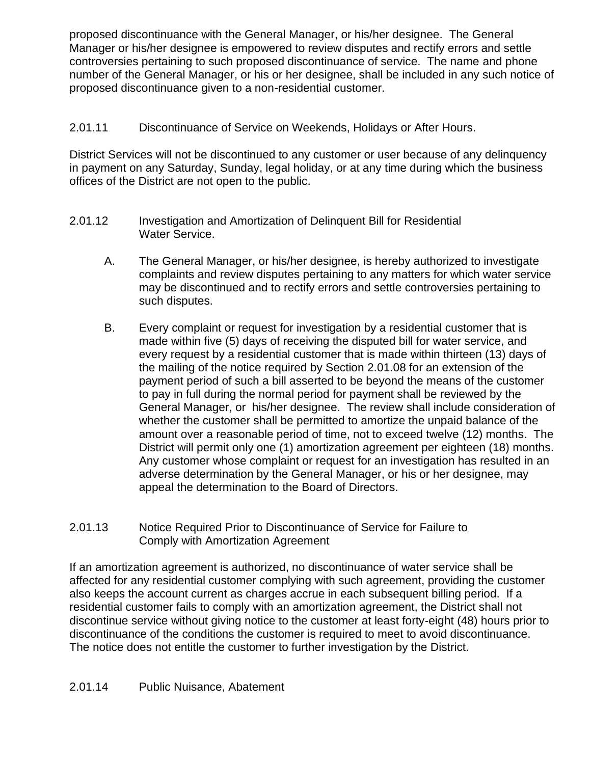proposed discontinuance with the General Manager, or his/her designee. The General Manager or his/her designee is empowered to review disputes and rectify errors and settle controversies pertaining to such proposed discontinuance of service. The name and phone number of the General Manager, or his or her designee, shall be included in any such notice of proposed discontinuance given to a non-residential customer.

## 2.01.11 Discontinuance of Service on Weekends, Holidays or After Hours.

District Services will not be discontinued to any customer or user because of any delinquency in payment on any Saturday, Sunday, legal holiday, or at any time during which the business offices of the District are not open to the public.

- 2.01.12 Investigation and Amortization of Delinquent Bill for Residential Water Service.
	- A. The General Manager, or his/her designee, is hereby authorized to investigate complaints and review disputes pertaining to any matters for which water service may be discontinued and to rectify errors and settle controversies pertaining to such disputes.
	- B. Every complaint or request for investigation by a residential customer that is made within five (5) days of receiving the disputed bill for water service, and every request by a residential customer that is made within thirteen (13) days of the mailing of the notice required by Section 2.01.08 for an extension of the payment period of such a bill asserted to be beyond the means of the customer to pay in full during the normal period for payment shall be reviewed by the General Manager, or his/her designee. The review shall include consideration of whether the customer shall be permitted to amortize the unpaid balance of the amount over a reasonable period of time, not to exceed twelve (12) months. The District will permit only one (1) amortization agreement per eighteen (18) months. Any customer whose complaint or request for an investigation has resulted in an adverse determination by the General Manager, or his or her designee, may appeal the determination to the Board of Directors.

#### 2.01.13 Notice Required Prior to Discontinuance of Service for Failure to Comply with Amortization Agreement

If an amortization agreement is authorized, no discontinuance of water service shall be affected for any residential customer complying with such agreement, providing the customer also keeps the account current as charges accrue in each subsequent billing period. If a residential customer fails to comply with an amortization agreement, the District shall not discontinue service without giving notice to the customer at least forty-eight (48) hours prior to discontinuance of the conditions the customer is required to meet to avoid discontinuance. The notice does not entitle the customer to further investigation by the District.